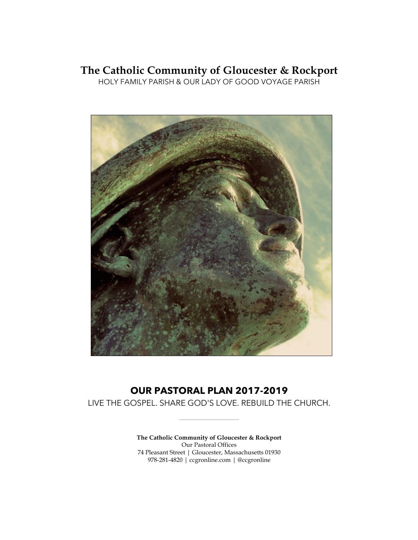# **The Catholic Community of Gloucester & Rockport**

HOLY FAMILY PARISH & OUR LADY OF GOOD VOYAGE PARISH



# **OUR PASTORAL PLAN 2017-2019**

LIVE THE GOSPEL. SHARE GOD'S LOVE. REBUILD THE CHURCH.

\_\_\_\_\_\_\_\_\_\_\_\_\_\_\_\_\_\_\_\_\_\_\_\_\_\_\_\_\_\_\_\_\_\_\_

**The Catholic Community of Gloucester & Rockport** Our Pastoral Offices 74 Pleasant Street | Gloucester, Massachusetts 01930 978-281-4820 | ccgronline.com | @ccgronline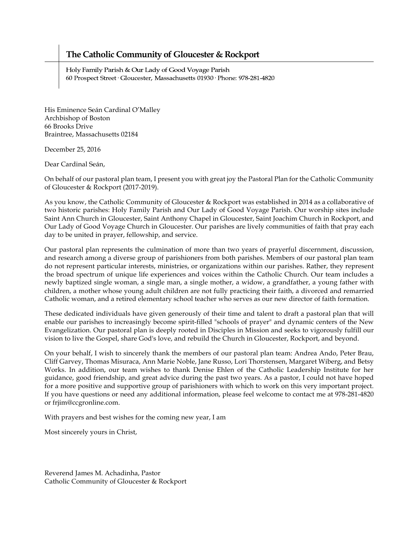## **The Catholic Community of Gloucester & Rockport**

Holy Family Parish & Our Lady of Good Voyage Parish 60 Prospect Street · Gloucester, Massachusetts 01930 · Phone: 978-281-4820

His Eminence Seán Cardinal O'Malley Archbishop of Boston 66 Brooks Drive Braintree, Massachusetts 02184

December 25, 2016

Dear Cardinal Seán,

On behalf of our pastoral plan team, I present you with great joy the Pastoral Plan for the Catholic Community of Gloucester & Rockport (2017-2019).

As you know, the Catholic Community of Gloucester & Rockport was established in 2014 as a collaborative of two historic parishes: Holy Family Parish and Our Lady of Good Voyage Parish. Our worship sites include Saint Ann Church in Gloucester, Saint Anthony Chapel in Gloucester, Saint Joachim Church in Rockport, and Our Lady of Good Voyage Church in Gloucester. Our parishes are lively communities of faith that pray each day to be united in prayer, fellowship, and service.

Our pastoral plan represents the culmination of more than two years of prayerful discernment, discussion, and research among a diverse group of parishioners from both parishes. Members of our pastoral plan team do not represent particular interests, ministries, or organizations within our parishes. Rather, they represent the broad spectrum of unique life experiences and voices within the Catholic Church. Our team includes a newly baptized single woman, a single man, a single mother, a widow, a grandfather, a young father with children, a mother whose young adult children are not fully practicing their faith, a divorced and remarried Catholic woman, and a retired elementary school teacher who serves as our new director of faith formation.

These dedicated individuals have given generously of their time and talent to draft a pastoral plan that will enable our parishes to increasingly become spirit-filled "schools of prayer" and dynamic centers of the New Evangelization. Our pastoral plan is deeply rooted in Disciples in Mission and seeks to vigorously fulfill our vision to live the Gospel, share God's love, and rebuild the Church in Gloucester, Rockport, and beyond.

On your behalf, I wish to sincerely thank the members of our pastoral plan team: Andrea Ando, Peter Brau, Cliff Garvey, Thomas Misuraca, Ann Marie Noble, Jane Russo, Lori Thorstensen, Margaret Wiberg, and Betsy Works. In addition, our team wishes to thank Denise Ehlen of the Catholic Leadership Institute for her guidance, good friendship, and great advice during the past two years. As a pastor, I could not have hoped for a more positive and supportive group of parishioners with which to work on this very important project. If you have questions or need any additional information, please feel welcome to contact me at 978-281-4820 or frjim@ccgronline.com.

With prayers and best wishes for the coming new year, I am

Most sincerely yours in Christ,

Reverend James M. Achadinha, Pastor Catholic Community of Gloucester & Rockport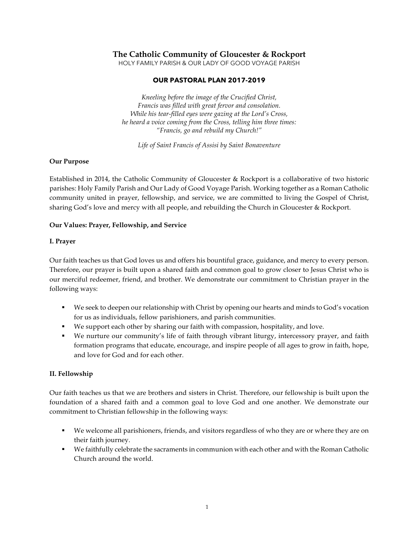## **The Catholic Community of Gloucester & Rockport**

HOLY FAMILY PARISH & OUR LADY OF GOOD VOYAGE PARISH

## **OUR PASTORAL PLAN 2017-2019**

*Kneeling before the image of the Crucified Christ, Francis was filled with great fervor and consolation. While his tear-filled eyes were gazing at the Lord's Cross, he heard a voice coming from the Cross, telling him three times: "Francis, go and rebuild my Church!"*

*Life of Saint Francis of Assisi by Saint Bonaventure*

## **Our Purpose**

Established in 2014, the Catholic Community of Gloucester & Rockport is a collaborative of two historic parishes: Holy Family Parish and Our Lady of Good Voyage Parish. Working together as a Roman Catholic community united in prayer, fellowship, and service, we are committed to living the Gospel of Christ, sharing God's love and mercy with all people, and rebuilding the Church in Gloucester & Rockport.

## **Our Values: Prayer, Fellowship, and Service**

#### **I. Prayer**

Our faith teaches us that God loves us and offers his bountiful grace, guidance, and mercy to every person. Therefore, our prayer is built upon a shared faith and common goal to grow closer to Jesus Christ who is our merciful redeemer, friend, and brother. We demonstrate our commitment to Christian prayer in the following ways:

- We seek to deepen our relationship with Christ by opening our hearts and minds to God's vocation for us as individuals, fellow parishioners, and parish communities.
- § We support each other by sharing our faith with compassion, hospitality, and love.
- § We nurture our community's life of faith through vibrant liturgy, intercessory prayer, and faith formation programs that educate, encourage, and inspire people of all ages to grow in faith, hope, and love for God and for each other.

## **II. Fellowship**

Our faith teaches us that we are brothers and sisters in Christ. Therefore, our fellowship is built upon the foundation of a shared faith and a common goal to love God and one another. We demonstrate our commitment to Christian fellowship in the following ways:

- We welcome all parishioners, friends, and visitors regardless of who they are or where they are on their faith journey.
- § We faithfully celebrate the sacraments in communion with each other and with the Roman Catholic Church around the world.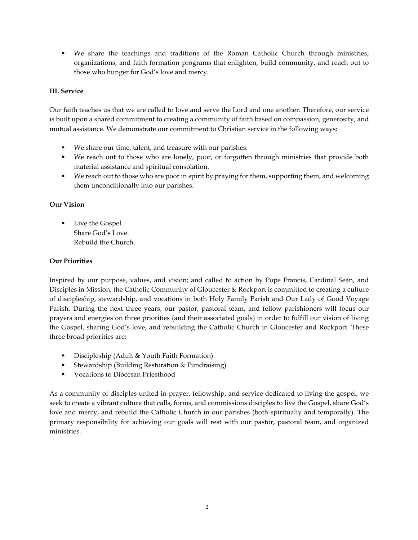§ We share the teachings and traditions of the Roman Catholic Church through ministries, organizations, and faith formation programs that enlighten, build community, and reach out to those who hunger for God's love and mercy.

## **III. Service**

Our faith teaches us that we are called to love and serve the Lord and one another. Therefore, our service is built upon a shared commitment to creating a community of faith based on compassion, generosity, and mutual assistance. We demonstrate our commitment to Christian service in the following ways:

- We share our time, talent, and treasure with our parishes.
- § We reach out to those who are lonely, poor, or forgotten through ministries that provide both material assistance and spiritual consolation.
- § We reach out to those who are poor in spirit by praying for them, supporting them, and welcoming them unconditionally into our parishes.

## **Our Vision**

Live the Gospel. Share God's Love. Rebuild the Church.

## **Our Priorities**

Inspired by our purpose, values, and vision; and called to action by Pope Francis, Cardinal Seán, and Disciples in Mission, the Catholic Community of Gloucester & Rockport is committed to creating a culture of discipleship, stewardship, and vocations in both Holy Family Parish and Our Lady of Good Voyage Parish. During the next three years, our pastor, pastoral team, and fellow parishioners will focus our prayers and energies on three priorities (and their associated goals) in order to fulfill our vision of living the Gospel, sharing God's love, and rebuilding the Catholic Church in Gloucester and Rockport. These three broad priorities are:

- Discipleship (Adult & Youth Faith Formation)
- Stewardship (Building Restoration & Fundraising)
- Vocations to Diocesan Priesthood

As a community of disciples united in prayer, fellowship, and service dedicated to living the gospel, we seek to create a vibrant culture that calls, forms, and commissions disciples to live the Gospel, share God's love and mercy, and rebuild the Catholic Church in our parishes (both spiritually and temporally). The primary responsibility for achieving our goals will rest with our pastor, pastoral team, and organized ministries.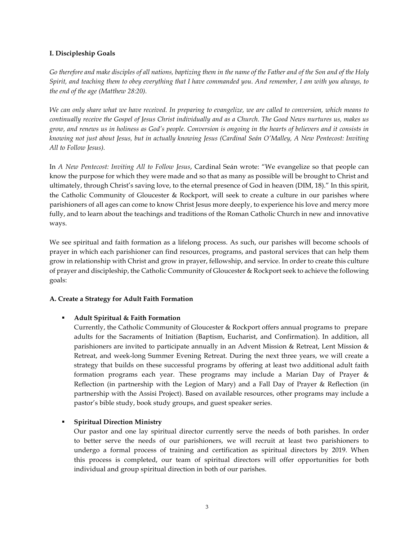## **I. Discipleship Goals**

Go therefore and make disciples of all nations, baptizing them in the name of the Father and of the Son and of the Holy *Spirit, and teaching them to obey everything that I have commanded you. And remember, I am with you always, to the end of the age (Matthew 28:20).*

*We can only share what we have received. In preparing to evangelize, we are called to conversion, which means to continually receive the Gospel of Jesus Christ individually and as a Church. The Good News nurtures us, makes us grow, and renews us in holiness as God's people. Conversion is ongoing in the hearts of believers and it consists in knowing not just about Jesus, but in actually knowing Jesus (Cardinal Seán O'Malley, A New Pentecost: Inviting All to Follow Jesus).*

In *A New Pentecost: Inviting All to Follow Jesus*, Cardinal Seán wrote: "We evangelize so that people can know the purpose for which they were made and so that as many as possible will be brought to Christ and ultimately, through Christ's saving love, to the eternal presence of God in heaven (DIM, 18)." In this spirit, the Catholic Community of Gloucester & Rockport, will seek to create a culture in our parishes where parishioners of all ages can come to know Christ Jesus more deeply, to experience his love and mercy more fully, and to learn about the teachings and traditions of the Roman Catholic Church in new and innovative ways.

We see spiritual and faith formation as a lifelong process. As such, our parishes will become schools of prayer in which each parishioner can find resources, programs, and pastoral services that can help them grow in relationship with Christ and grow in prayer, fellowship, and service. In order to create this culture of prayer and discipleship, the Catholic Community of Gloucester & Rockport seek to achieve the following goals:

## **A. Create a Strategy for Adult Faith Formation**

## § **Adult Spiritual & Faith Formation**

Currently, the Catholic Community of Gloucester & Rockport offers annual programs to prepare adults for the Sacraments of Initiation (Baptism, Eucharist, and Confirmation). In addition, all parishioners are invited to participate annually in an Advent Mission & Retreat, Lent Mission & Retreat, and week-long Summer Evening Retreat. During the next three years, we will create a strategy that builds on these successful programs by offering at least two additional adult faith formation programs each year. These programs may include a Marian Day of Prayer & Reflection (in partnership with the Legion of Mary) and a Fall Day of Prayer & Reflection (in partnership with the Assisi Project). Based on available resources, other programs may include a pastor's bible study, book study groups, and guest speaker series.

## § **Spiritual Direction Ministry**

Our pastor and one lay spiritual director currently serve the needs of both parishes. In order to better serve the needs of our parishioners, we will recruit at least two parishioners to undergo a formal process of training and certification as spiritual directors by 2019. When this process is completed, our team of spiritual directors will offer opportunities for both individual and group spiritual direction in both of our parishes.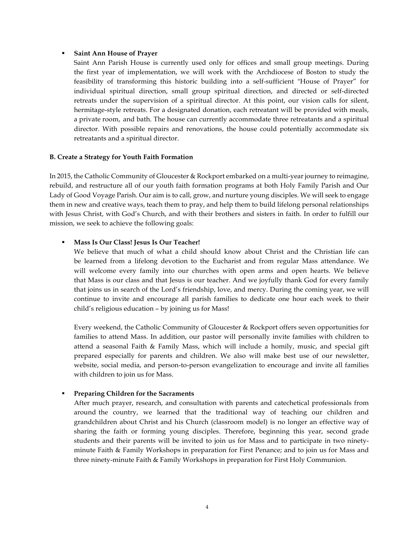#### § **Saint Ann House of Prayer**

Saint Ann Parish House is currently used only for offices and small group meetings. During the first year of implementation, we will work with the Archdiocese of Boston to study the feasibility of transforming this historic building into a self-sufficient "House of Prayer" for individual spiritual direction, small group spiritual direction, and directed or self-directed retreats under the supervision of a spiritual director. At this point, our vision calls for silent, hermitage-style retreats. For a designated donation, each retreatant will be provided with meals, a private room, and bath. The house can currently accommodate three retreatants and a spiritual director. With possible repairs and renovations, the house could potentially accommodate six retreatants and a spiritual director.

#### **B. Create a Strategy for Youth Faith Formation**

In 2015, the Catholic Community of Gloucester & Rockport embarked on a multi-year journey to reimagine, rebuild, and restructure all of our youth faith formation programs at both Holy Family Parish and Our Lady of Good Voyage Parish. Our aim is to call, grow, and nurture young disciples. We will seek to engage them in new and creative ways, teach them to pray, and help them to build lifelong personal relationships with Jesus Christ, with God's Church, and with their brothers and sisters in faith. In order to fulfill our mission, we seek to achieve the following goals:

#### § **Mass Is Our Class! Jesus Is Our Teacher!**

We believe that much of what a child should know about Christ and the Christian life can be learned from a lifelong devotion to the Eucharist and from regular Mass attendance. We will welcome every family into our churches with open arms and open hearts. We believe that Mass is our class and that Jesus is our teacher. And we joyfully thank God for every family that joins us in search of the Lord's friendship, love, and mercy. During the coming year, we will continue to invite and encourage all parish families to dedicate one hour each week to their child's religious education – by joining us for Mass!

Every weekend, the Catholic Community of Gloucester & Rockport offers seven opportunities for families to attend Mass. In addition, our pastor will personally invite families with children to attend a seasonal Faith & Family Mass, which will include a homily, music, and special gift prepared especially for parents and children. We also will make best use of our newsletter, website, social media, and person-to-person evangelization to encourage and invite all families with children to join us for Mass.

#### § **Preparing Children for the Sacraments**

After much prayer, research, and consultation with parents and catechetical professionals from around the country, we learned that the traditional way of teaching our children and grandchildren about Christ and his Church (classroom model) is no longer an effective way of sharing the faith or forming young disciples. Therefore, beginning this year, second grade students and their parents will be invited to join us for Mass and to participate in two ninetyminute Faith & Family Workshops in preparation for First Penance; and to join us for Mass and three ninety-minute Faith & Family Workshops in preparation for First Holy Communion.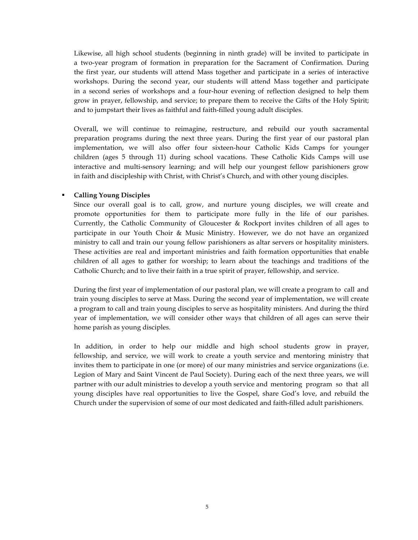Likewise, all high school students (beginning in ninth grade) will be invited to participate in a two-year program of formation in preparation for the Sacrament of Confirmation. During the first year, our students will attend Mass together and participate in a series of interactive workshops. During the second year, our students will attend Mass together and participate in a second series of workshops and a four-hour evening of reflection designed to help them grow in prayer, fellowship, and service; to prepare them to receive the Gifts of the Holy Spirit; and to jumpstart their lives as faithful and faith-filled young adult disciples.

Overall, we will continue to reimagine, restructure, and rebuild our youth sacramental preparation programs during the next three years. During the first year of our pastoral plan implementation, we will also offer four sixteen-hour Catholic Kids Camps for younger children (ages 5 through 11) during school vacations. These Catholic Kids Camps will use interactive and multi-sensory learning; and will help our youngest fellow parishioners grow in faith and discipleship with Christ, with Christ's Church, and with other young disciples.

#### § **Calling Young Disciples**

Since our overall goal is to call, grow, and nurture young disciples, we will create and promote opportunities for them to participate more fully in the life of our parishes. Currently, the Catholic Community of Gloucester & Rockport invites children of all ages to participate in our Youth Choir & Music Ministry. However, we do not have an organized ministry to call and train our young fellow parishioners as altar servers or hospitality ministers. These activities are real and important ministries and faith formation opportunities that enable children of all ages to gather for worship; to learn about the teachings and traditions of the Catholic Church; and to live their faith in a true spirit of prayer, fellowship, and service.

During the first year of implementation of our pastoral plan, we will create a program to call and train young disciples to serve at Mass. During the second year of implementation, we will create a program to call and train young disciples to serve as hospitality ministers. And during the third year of implementation, we will consider other ways that children of all ages can serve their home parish as young disciples.

In addition, in order to help our middle and high school students grow in prayer, fellowship, and service, we will work to create a youth service and mentoring ministry that invites them to participate in one (or more) of our many ministries and service organizations (i.e. Legion of Mary and Saint Vincent de Paul Society). During each of the next three years, we will partner with our adult ministries to develop a youth service and mentoring program so that all young disciples have real opportunities to live the Gospel, share God's love, and rebuild the Church under the supervision of some of our most dedicated and faith-filled adult parishioners.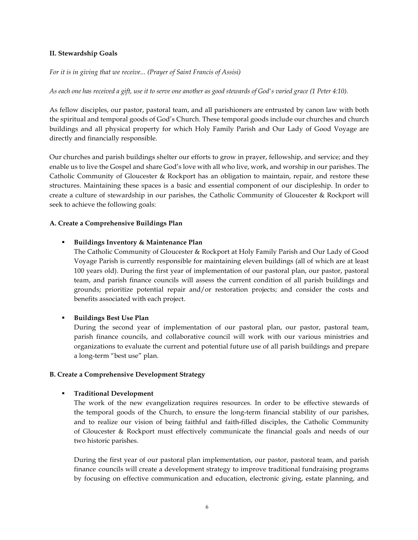#### **II. Stewardship Goals**

*For it is in giving that we receive... (Prayer of Saint Francis of Assisi)*

*As each one has received a gift, use it to serve one another as good stewards of God's varied grace (1 Peter 4:10).*

As fellow disciples, our pastor, pastoral team, and all parishioners are entrusted by canon law with both the spiritual and temporal goods of God's Church. These temporal goods include our churches and church buildings and all physical property for which Holy Family Parish and Our Lady of Good Voyage are directly and financially responsible.

Our churches and parish buildings shelter our efforts to grow in prayer, fellowship, and service; and they enable us to live the Gospel and share God's love with all who live, work, and worship in our parishes. The Catholic Community of Gloucester & Rockport has an obligation to maintain, repair, and restore these structures. Maintaining these spaces is a basic and essential component of our discipleship. In order to create a culture of stewardship in our parishes, the Catholic Community of Gloucester & Rockport will seek to achieve the following goals:

#### **A. Create a Comprehensive Buildings Plan**

#### § **Buildings Inventory & Maintenance Plan**

The Catholic Community of Gloucester & Rockport at Holy Family Parish and Our Lady of Good Voyage Parish is currently responsible for maintaining eleven buildings (all of which are at least 100 years old). During the first year of implementation of our pastoral plan, our pastor, pastoral team, and parish finance councils will assess the current condition of all parish buildings and grounds; prioritize potential repair and/or restoration projects; and consider the costs and benefits associated with each project.

## § **Buildings Best Use Plan**

During the second year of implementation of our pastoral plan, our pastor, pastoral team, parish finance councils, and collaborative council will work with our various ministries and organizations to evaluate the current and potential future use of all parish buildings and prepare a long-term "best use" plan.

#### **B. Create a Comprehensive Development Strategy**

## § **Traditional Development**

The work of the new evangelization requires resources. In order to be effective stewards of the temporal goods of the Church, to ensure the long-term financial stability of our parishes, and to realize our vision of being faithful and faith-filled disciples, the Catholic Community of Gloucester & Rockport must effectively communicate the financial goals and needs of our two historic parishes.

During the first year of our pastoral plan implementation, our pastor, pastoral team, and parish finance councils will create a development strategy to improve traditional fundraising programs by focusing on effective communication and education, electronic giving, estate planning, and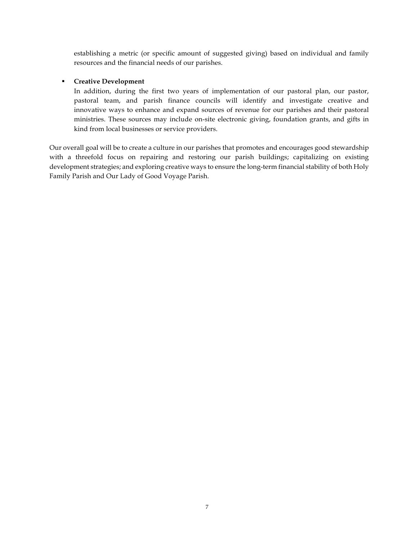establishing a metric (or specific amount of suggested giving) based on individual and family resources and the financial needs of our parishes.

## § **Creative Development**

In addition, during the first two years of implementation of our pastoral plan, our pastor, pastoral team, and parish finance councils will identify and investigate creative and innovative ways to enhance and expand sources of revenue for our parishes and their pastoral ministries. These sources may include on-site electronic giving, foundation grants, and gifts in kind from local businesses or service providers.

Our overall goal will be to create a culture in our parishes that promotes and encourages good stewardship with a threefold focus on repairing and restoring our parish buildings; capitalizing on existing development strategies; and exploring creative ways to ensure the long-term financial stability of both Holy Family Parish and Our Lady of Good Voyage Parish.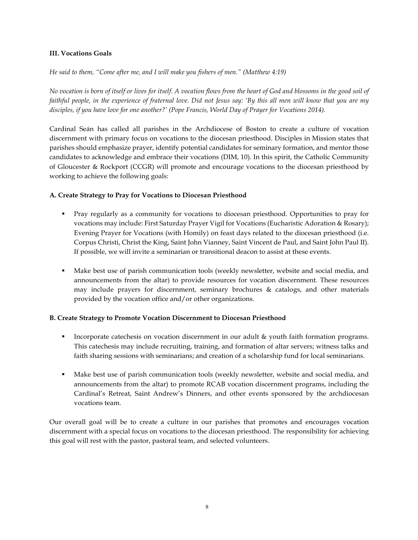## **III. Vocations Goals**

*He said to them, "Come after me, and I will make you fishers of men." (Matthew 4:19)*

*No vocation is born of itself or lives for itself. A vocation flows from the heart of God and blossoms in the good soil of faithful people, in the experience of fraternal love. Did not Jesus say: 'By this all men will know that you are my disciples, if you have love for one another?' (Pope Francis, World Day of Prayer for Vocations 2014).*

Cardinal Seán has called all parishes in the Archdiocese of Boston to create a culture of vocation discernment with primary focus on vocations to the diocesan priesthood. Disciples in Mission states that parishes should emphasize prayer, identify potential candidates for seminary formation, and mentor those candidates to acknowledge and embrace their vocations (DIM, 10). In this spirit, the Catholic Community of Gloucester & Rockport (CCGR) will promote and encourage vocations to the diocesan priesthood by working to achieve the following goals:

## **A. Create Strategy to Pray for Vocations to Diocesan Priesthood**

- § Pray regularly as a community for vocations to diocesan priesthood. Opportunities to pray for vocations may include: First Saturday Prayer Vigil for Vocations (Eucharistic Adoration & Rosary); Evening Prayer for Vocations (with Homily) on feast days related to the diocesan priesthood (i.e. Corpus Christi, Christ the King, Saint John Vianney, Saint Vincent de Paul, and Saint John Paul II). If possible, we will invite a seminarian or transitional deacon to assist at these events.
- § Make best use of parish communication tools (weekly newsletter, website and social media, and announcements from the altar) to provide resources for vocation discernment. These resources may include prayers for discernment, seminary brochures & catalogs, and other materials provided by the vocation office and/or other organizations.

## **B. Create Strategy to Promote Vocation Discernment to Diocesan Priesthood**

- Incorporate catechesis on vocation discernment in our adult & youth faith formation programs. This catechesis may include recruiting, training, and formation of altar servers; witness talks and faith sharing sessions with seminarians; and creation of a scholarship fund for local seminarians.
- § Make best use of parish communication tools (weekly newsletter, website and social media, and announcements from the altar) to promote RCAB vocation discernment programs, including the Cardinal's Retreat, Saint Andrew's Dinners, and other events sponsored by the archdiocesan vocations team.

Our overall goal will be to create a culture in our parishes that promotes and encourages vocation discernment with a special focus on vocations to the diocesan priesthood. The responsibility for achieving this goal will rest with the pastor, pastoral team, and selected volunteers.